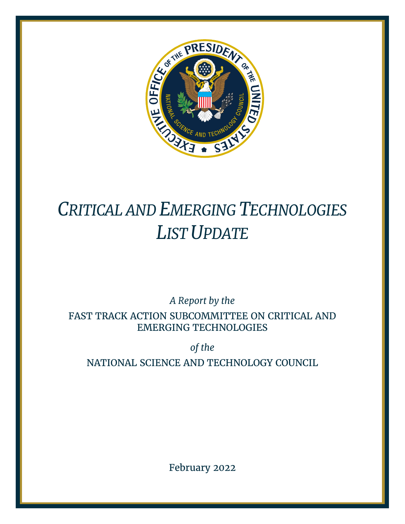

# *CRITICAL AND EMERGING TECHNOLOGIES LIST UPDATE*

*A Report by the*

FAST TRACK ACTION SUBCOMMITTEE ON CRITICAL AND EMERGING TECHNOLOGIES

*of the*

NATIONAL SCIENCE AND TECHNOLOGY COUNCIL

February 2022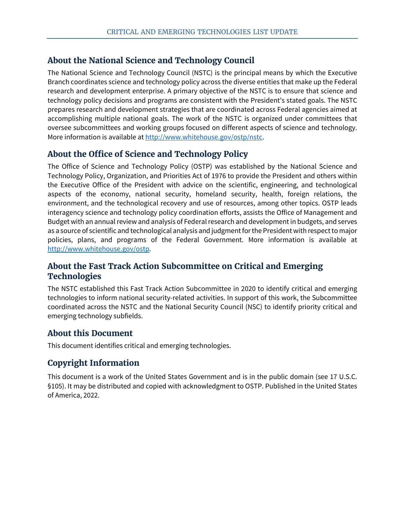# **About the National Science and Technology Council**

The National Science and Technology Council (NSTC) is the principal means by which the Executive Branch coordinates science and technology policy across the diverse entities that make up the Federal research and development enterprise. A primary objective of the NSTC is to ensure that science and technology policy decisions and programs are consistent with the President's stated goals. The NSTC prepares research and development strategies that are coordinated across Federal agencies aimed at accomplishing multiple national goals. The work of the NSTC is organized under committees that oversee subcommittees and working groups focused on different aspects of science and technology. More information is available at [http://www.whitehouse.gov/ostp/nstc.](http://www.whitehouse.gov/ostp/nstc)

# **About the Office of Science and Technology Policy**

The Office of Science and Technology Policy (OSTP) was established by the National Science and Technology Policy, Organization, and Priorities Act of 1976 to provide the President and others within the Executive Office of the President with advice on the scientific, engineering, and technological aspects of the economy, national security, homeland security, health, foreign relations, the environment, and the technological recovery and use of resources, among other topics. OSTP leads interagency science and technology policy coordination efforts, assists the Office of Management and Budget with an annual review and analysis of Federal research and development in budgets, and serves as a source of scientific and technological analysis and judgment for the President with respect to major policies, plans, and programs of the Federal Government. More information is available at [http://www.whitehouse.gov/ostp.](http://www.whitehouse.gov/ostp)

# **About the Fast Track Action Subcommittee on Critical and Emerging Technologies**

The NSTC established this Fast Track Action Subcommittee in 2020 to identify critical and emerging technologies to inform national security-related activities. In support of this work, the Subcommittee coordinated across the NSTC and the National Security Council (NSC) to identify priority critical and emerging technology subfields.

# **About this Document**

This document identifies critical and emerging technologies.

# **Copyright Information**

This document is a work of the United States Government and is in the public domain (see 17 U.S.C. §105). It may be distributed and copied with acknowledgment to OSTP. Published in the United States of America, 2022.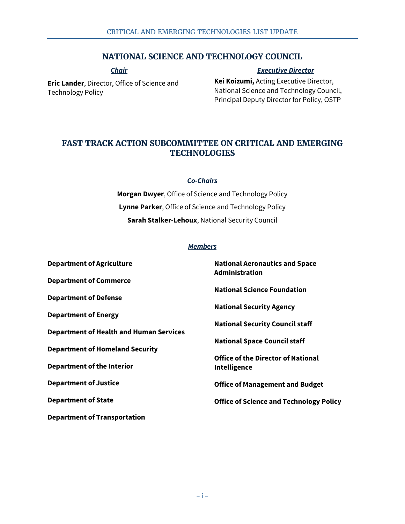# **NATIONAL SCIENCE AND TECHNOLOGY COUNCIL**

*Chair*

#### *Executive Director*

**Eric Lander**, Director, Office of Science and Technology Policy

**Kei Koizumi,** Acting Executive Director, National Science and Technology Council, Principal Deputy Director for Policy, OSTP

# **FAST TRACK ACTION SUBCOMMITTEE ON CRITICAL AND EMERGING TECHNOLOGIES**

#### *Co-Chairs*

**Morgan Dwyer**, Office of Science and Technology Policy **Lynne Parker**, Office of Science and Technology Policy **Sarah Stalker-Lehoux**, National Security Council

#### *Members*

| <b>Department of Agriculture</b>               | <b>National Aeronautics and Space</b><br><b>Administration</b> |
|------------------------------------------------|----------------------------------------------------------------|
| <b>Department of Commerce</b>                  |                                                                |
|                                                | <b>National Science Foundation</b>                             |
| <b>Department of Defense</b>                   |                                                                |
|                                                | <b>National Security Agency</b>                                |
| <b>Department of Energy</b>                    |                                                                |
| <b>Department of Health and Human Services</b> | <b>National Security Council staff</b>                         |
|                                                | <b>National Space Council staff</b>                            |
| <b>Department of Homeland Security</b>         |                                                                |
|                                                | <b>Office of the Director of National</b>                      |
| <b>Department of the Interior</b>              | <b>Intelligence</b>                                            |
| <b>Department of Justice</b>                   | <b>Office of Management and Budget</b>                         |
| <b>Department of State</b>                     | <b>Office of Science and Technology Policy</b>                 |
|                                                |                                                                |
| <b>Department of Transportation</b>            |                                                                |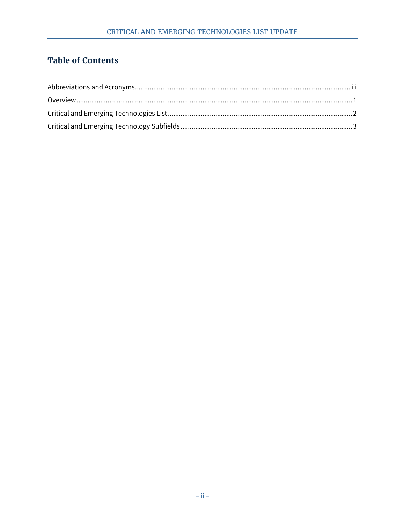# **Table of Contents**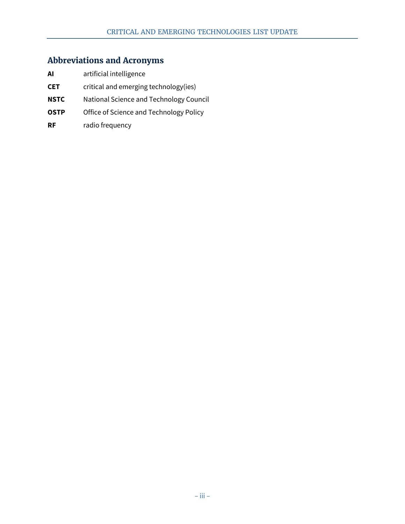# <span id="page-4-0"></span>**Abbreviations and Acronyms**

- **AI** artificial intelligence
- **CET** critical and emerging technology(ies)
- **NSTC** National Science and Technology Council
- **OSTP** Office of Science and Technology Policy
- **RF** radio frequency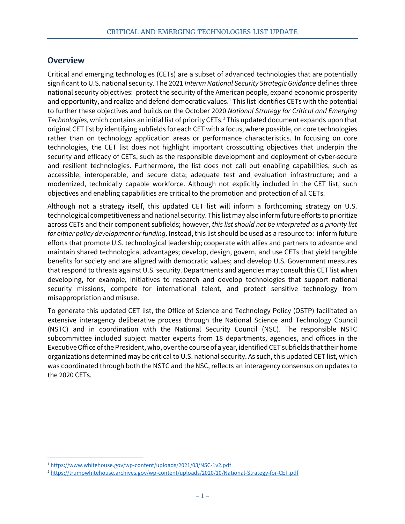# <span id="page-5-0"></span>**Overview**

Critical and emerging technologies (CETs) are a subset of advanced technologies that are potentially significant to U.S. national security. The 2021 *Interim National Security Strategic Guidance* defines three national security objectives: protect the security of the American people, expand economic prosperity and opportunity, and realize and defend democratic values. [1](#page-5-1) This list identifies CETs with the potential to further these objectives and builds on the October 2020 *National Strategy for Critical and Emerging Technologies,* which contains an initial list of priority CETs[.2](#page-5-2) This updated document expands upon that original CET list by identifying subfields for each CET with a focus, where possible, on core technologies rather than on technology application areas or performance characteristics. In focusing on core technologies, the CET list does not highlight important crosscutting objectives that underpin the security and efficacy of CETs, such as the responsible development and deployment of cyber-secure and resilient technologies. Furthermore, the list does not call out enabling capabilities, such as accessible, interoperable, and secure data; adequate test and evaluation infrastructure; and a modernized, technically capable workforce. Although not explicitly included in the CET list, such objectives and enabling capabilities are critical to the promotion and protection of all CETs.

Although not a strategy itself, this updated CET list will inform a forthcoming strategy on U.S. technological competitiveness and national security. This list may also inform future efforts to prioritize across CETs and their component subfields; however, *this list should not be interpreted as a priority list for either policy development or funding*. Instead, this list should be used as a resource to: inform future efforts that promote U.S. technological leadership; cooperate with allies and partners to advance and maintain shared technological advantages; develop, design, govern, and use CETs that yield tangible benefits for society and are aligned with democratic values; and develop U.S. Government measures that respond to threats against U.S. security. Departments and agencies may consult this CET list when developing, for example, initiatives to research and develop technologies that support national security missions, compete for international talent, and protect sensitive technology from misappropriation and misuse.

To generate this updated CET list, the Office of Science and Technology Policy (OSTP) facilitated an extensive interagency deliberative process through the National Science and Technology Council (NSTC) and in coordination with the National Security Council (NSC). The responsible NSTC subcommittee included subject matter experts from 18 departments, agencies, and offices in the Executive Office of the President, who, over the course of a year, identified CET subfields that their home organizations determined may be critical to U.S. national security. As such, this updated CET list, which was coordinated through both the NSTC and the NSC, reflects an interagency consensus on updates to the 2020 CETs.

<span id="page-5-1"></span> <sup>1</sup> <https://www.whitehouse.gov/wp-content/uploads/2021/03/NSC-1v2.pdf>

<span id="page-5-2"></span><sup>2</sup> <https://trumpwhitehouse.archives.gov/wp-content/uploads/2020/10/National-Strategy-for-CET.pdf>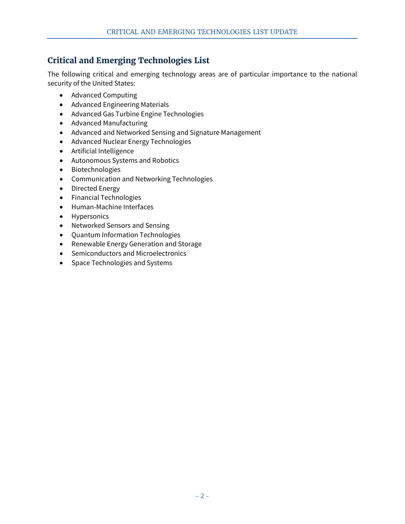# <span id="page-6-0"></span>**Critical and Emerging Technologies List**

The following critical and emerging technology areas are of particular importance to the national security of the United States:

- Advanced Computing
- Advanced Engineering Materials
- Advanced Gas Turbine Engine Technologies
- Advanced Manufacturing
- Advanced and Networked Sensing and Signature Management
- Advanced Nuclear Energy Technologies
- Artificial Intelligence
- Autonomous Systems and Robotics
- Biotechnologies
- Communication and Networking Technologies
- Directed Energy
- Financial Technologies
- Human-Machine Interfaces
- Hypersonics
- Networked Sensors and Sensing
- Quantum Information Technologies
- Renewable Energy Generation and Storage
- Semiconductors and Microelectronics
- Space Technologies and Systems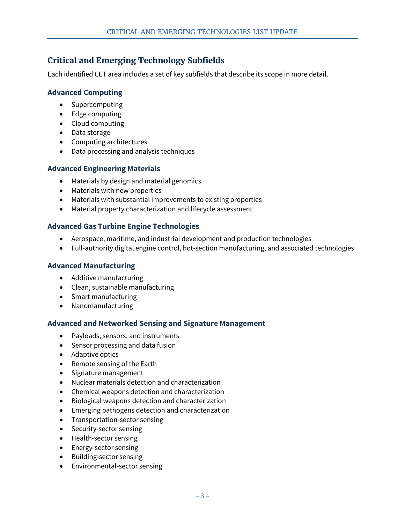# <span id="page-7-0"></span>**Critical and Emerging Technology Subfields**

Each identified CET area includes a set of key subfields that describe its scope in more detail.

# **Advanced Computing**

- Supercomputing
- Edge computing
- Cloud computing
- Data storage
- Computing architectures
- Data processing and analysis techniques

# **Advanced Engineering Materials**

- Materials by design and material genomics
- Materials with new properties
- Materials with substantial improvements to existing properties
- Material property characterization and lifecycle assessment

# **Advanced Gas Turbine Engine Technologies**

- Aerospace, maritime, and industrial development and production technologies
- Full-authority digital engine control, hot-section manufacturing, and associated technologies

## **Advanced Manufacturing**

- Additive manufacturing
- Clean, sustainable manufacturing
- Smart manufacturing
- Nanomanufacturing

## **Advanced and Networked Sensing and Signature Management**

- Payloads, sensors, and instruments
- Sensor processing and data fusion
- Adaptive optics
- Remote sensing of the Earth
- Signature management
- Nuclear materials detection and characterization
- Chemical weapons detection and characterization
- Biological weapons detection and characterization
- Emerging pathogens detection and characterization
- Transportation-sector sensing
- Security-sector sensing
- Health-sector sensing
- Energy-sector sensing
- Building-sector sensing
- Environmental-sector sensing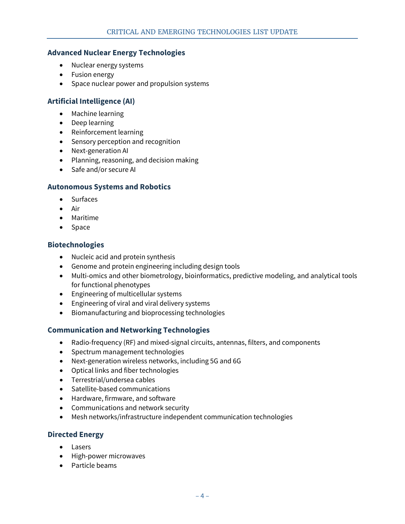## **Advanced Nuclear Energy Technologies**

- Nuclear energy systems
- Fusion energy
- Space nuclear power and propulsion systems

# **Artificial Intelligence (AI)**

- Machine learning
- Deep learning
- Reinforcement learning
- Sensory perception and recognition
- Next-generation AI
- Planning, reasoning, and decision making
- Safe and/or secure AI

#### **Autonomous Systems and Robotics**

- Surfaces
- Air
- Maritime
- Space

## **Biotechnologies**

- Nucleic acid and protein synthesis
- Genome and protein engineering including design tools
- Multi-omics and other biometrology, bioinformatics, predictive modeling, and analytical tools for functional phenotypes
- Engineering of multicellular systems
- Engineering of viral and viral delivery systems
- Biomanufacturing and bioprocessing technologies

#### **Communication and Networking Technologies**

- Radio-frequency (RF) and mixed-signal circuits, antennas, filters, and components
- Spectrum management technologies
- Next-generation wireless networks, including 5G and 6G
- Optical links and fiber technologies
- Terrestrial/undersea cables
- Satellite-based communications
- Hardware, firmware, and software
- Communications and network security
- Mesh networks/infrastructure independent communication technologies

#### **Directed Energy**

- Lasers
- High-power microwaves
- Particle beams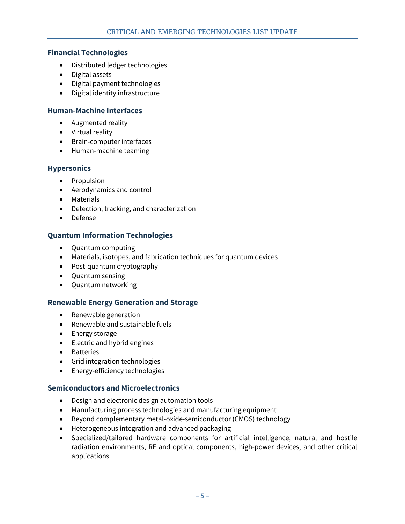#### **Financial Technologies**

- Distributed ledger technologies
- Digital assets
- Digital payment technologies
- Digital identity infrastructure

## **Human-Machine Interfaces**

- Augmented reality
- Virtual reality
- Brain-computer interfaces
- Human-machine teaming

#### **Hypersonics**

- Propulsion
- Aerodynamics and control
- Materials
- Detection, tracking, and characterization
- Defense

## **Quantum Information Technologies**

- Quantum computing
- Materials, isotopes, and fabrication techniques for quantum devices
- Post-quantum cryptography
- Quantum sensing
- Quantum networking

#### **Renewable Energy Generation and Storage**

- Renewable generation
- Renewable and sustainable fuels
- Energy storage
- Electric and hybrid engines
- Batteries
- Grid integration technologies
- Energy-efficiency technologies

#### **Semiconductors and Microelectronics**

- Design and electronic design automation tools
- Manufacturing process technologies and manufacturing equipment
- Beyond complementary metal-oxide-semiconductor (CMOS) technology
- Heterogeneous integration and advanced packaging
- Specialized/tailored hardware components for artificial intelligence, natural and hostile radiation environments, RF and optical components, high-power devices, and other critical applications